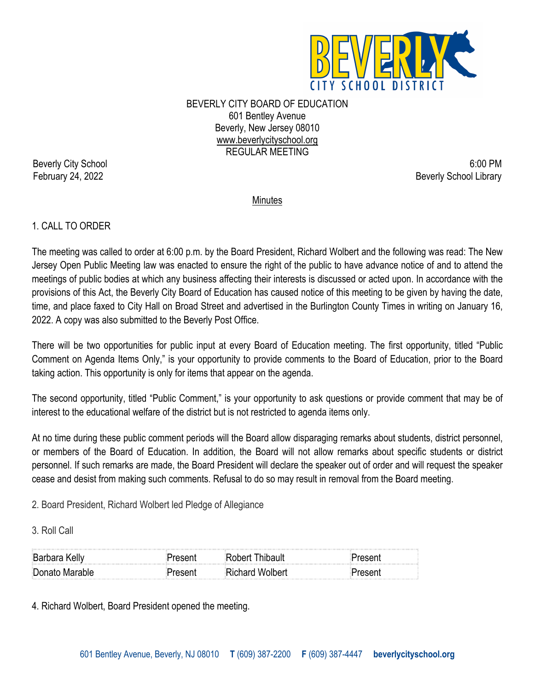

BEVERLY CITY BOARD OF EDUCATION 601 Bentley Avenue Beverly, New Jersey 08010 www.beverlycityschool.org REGULAR MEETING

Beverly City School 6:00 PM February 24, 2022 **Beverly School Library** Beverly School Library

**Minutes** 

# 1. CALL TO ORDER

The meeting was called to order at 6:00 p.m. by the Board President, Richard Wolbert and the following was read: The New Jersey Open Public Meeting law was enacted to ensure the right of the public to have advance notice of and to attend the meetings of public bodies at which any business affecting their interests is discussed or acted upon. In accordance with the provisions of this Act, the Beverly City Board of Education has caused notice of this meeting to be given by having the date, time, and place faxed to City Hall on Broad Street and advertised in the Burlington County Times in writing on January 16, 2022. A copy was also submitted to the Beverly Post Office.

There will be two opportunities for public input at every Board of Education meeting. The first opportunity, titled "Public Comment on Agenda Items Only," is your opportunity to provide comments to the Board of Education, prior to the Board taking action. This opportunity is only for items that appear on the agenda.

The second opportunity, titled "Public Comment," is your opportunity to ask questions or provide comment that may be of interest to the educational welfare of the district but is not restricted to agenda items only.

At no time during these public comment periods will the Board allow disparaging remarks about students, district personnel, or members of the Board of Education. In addition, the Board will not allow remarks about specific students or district personnel. If such remarks are made, the Board President will declare the speaker out of order and will request the speaker cease and desist from making such comments. Refusal to do so may result in removal from the Board meeting.

2. Board President, Richard Wolbert led Pledge of Allegiance

3. Roll Call

| <b>Barbara Kelly</b> | Thipault<br>וופתו |  |
|----------------------|-------------------|--|
| Donato Marable       | ใichard Wolbert   |  |

4. Richard Wolbert, Board President opened the meeting.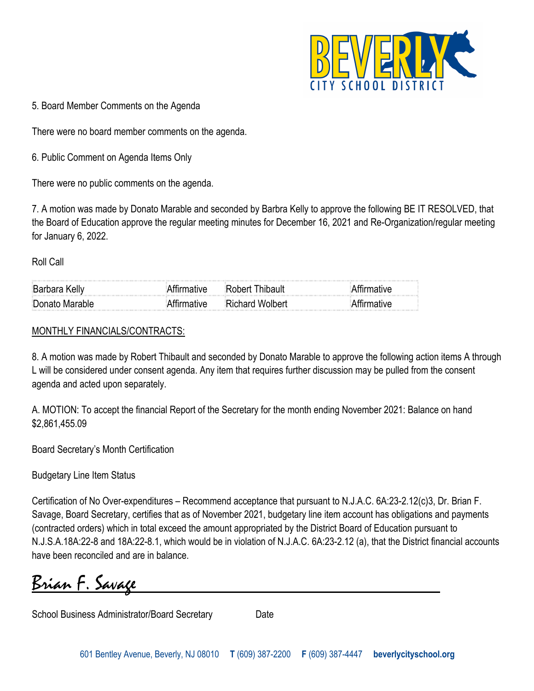

5. Board Member Comments on the Agenda

There were no board member comments on the agenda.

6. Public Comment on Agenda Items Only

There were no public comments on the agenda.

7. A motion was made by Donato Marable and seconded by Barbra Kelly to approve the following BE IT RESOLVED, that the Board of Education approve the regular meeting minutes for December 16, 2021 and Re-Organization/regular meeting for January 6, 2022.

Roll Call

| ня              | → Protection → Protection → Protection → Protection → Protection → Protection → P |  |
|-----------------|-----------------------------------------------------------------------------------|--|
| ⊧Donato Marable | יישמוחW מדפרימיי                                                                  |  |

#### MONTHLY FINANCIALS/CONTRACTS:

8. A motion was made by Robert Thibault and seconded by Donato Marable to approve the following action items A through L will be considered under consent agenda. Any item that requires further discussion may be pulled from the consent agenda and acted upon separately.

A. MOTION: To accept the financial Report of the Secretary for the month ending November 2021: Balance on hand \$2,861,455.09

Board Secretary's Month Certification

Budgetary Line Item Status

Certification of No Over-expenditures – Recommend acceptance that pursuant to N.J.A.C. 6A:23-2.12(c)3, Dr. Brian F. Savage, Board Secretary, certifies that as of November 2021, budgetary line item account has obligations and payments (contracted orders) which in total exceed the amount appropriated by the District Board of Education pursuant to N.J.S.A.18A:22-8 and 18A:22-8.1, which would be in violation of N.J.A.C. 6A:23-2.12 (a), that the District financial accounts have been reconciled and are in balance.

Brian F. Savage

School Business Administrator/Board Secretary Date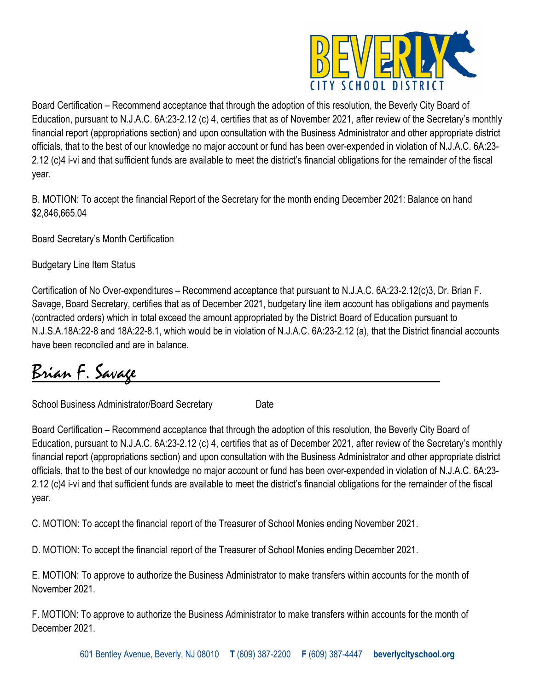

Board Certification – Recommend acceptance that through the adoption of this resolution, the Beverly City Board of Education, pursuant to N.J.A.C. 6A:23-2.12 (c) 4, certifies that as of November 2021, after review of the Secretary's monthly financial report (appropriations section) and upon consultation with the Business Administrator and other appropriate district officials, that to the best of our knowledge no major account or fund has been over-expended in violation of N.J.A.C. 6A:23- 2.12 (c)4 i-vi and that sufficient funds are available to meet the district's financial obligations for the remainder of the fiscal year.

B. MOTION: To accept the financial Report of the Secretary for the month ending December 2021: Balance on hand \$2,846,665.04

Board Secretary's Month Certification

Budgetary Line Item Status

Certification of No Over-expenditures – Recommend acceptance that pursuant to N.J.A.C. 6A:23-2.12(c)3, Dr. Brian F. Savage, Board Secretary, certifies that as of December 2021, budgetary line item account has obligations and payments (contracted orders) which in total exceed the amount appropriated by the District Board of Education pursuant to N.J.S.A.18A:22-8 and 18A:22-8.1, which would be in violation of N.J.A.C. 6A:23-2.12 (a), that the District financial accounts have been reconciled and are in balance.

# Brian F. Savage

School Business Administrator/Board Secretary Date

Board Certification – Recommend acceptance that through the adoption of this resolution, the Beverly City Board of Education, pursuant to N.J.A.C. 6A:23-2.12 (c) 4, certifies that as of December 2021, after review of the Secretary's monthly financial report (appropriations section) and upon consultation with the Business Administrator and other appropriate district officials, that to the best of our knowledge no major account or fund has been over-expended in violation of N.J.A.C. 6A:23- 2.12 (c)4 i-vi and that sufficient funds are available to meet the district's financial obligations for the remainder of the fiscal year.

C. MOTION: To accept the financial report of the Treasurer of School Monies ending November 2021.

D. MOTION: To accept the financial report of the Treasurer of School Monies ending December 2021.

E. MOTION: To approve to authorize the Business Administrator to make transfers within accounts for the month of November 2021.

F. MOTION: To approve to authorize the Business Administrator to make transfers within accounts for the month of December 2021.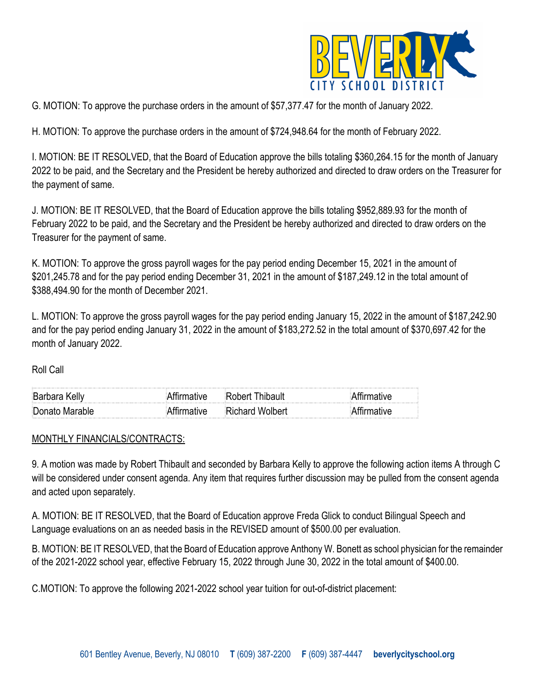

G. MOTION: To approve the purchase orders in the amount of \$57,377.47 for the month of January 2022.

H. MOTION: To approve the purchase orders in the amount of \$724,948.64 for the month of February 2022.

I. MOTION: BE IT RESOLVED, that the Board of Education approve the bills totaling \$360,264.15 for the month of January 2022 to be paid, and the Secretary and the President be hereby authorized and directed to draw orders on the Treasurer for the payment of same.

J. MOTION: BE IT RESOLVED, that the Board of Education approve the bills totaling \$952,889.93 for the month of February 2022 to be paid, and the Secretary and the President be hereby authorized and directed to draw orders on the Treasurer for the payment of same.

K. MOTION: To approve the gross payroll wages for the pay period ending December 15, 2021 in the amount of \$201,245.78 and for the pay period ending December 31, 2021 in the amount of \$187,249.12 in the total amount of \$388,494.90 for the month of December 2021.

L. MOTION: To approve the gross payroll wages for the pay period ending January 15, 2022 in the amount of \$187,242.90 and for the pay period ending January 31, 2022 in the amount of \$183,272.52 in the total amount of \$370,697.42 for the month of January 2022.

Roll Call

| Barbara Kelly  |           | Robert Thibault        |  |
|----------------|-----------|------------------------|--|
| Donato Marable | .rimative | <b>Richard Wolbert</b> |  |

#### MONTHLY FINANCIALS/CONTRACTS:

9. A motion was made by Robert Thibault and seconded by Barbara Kelly to approve the following action items A through C will be considered under consent agenda. Any item that requires further discussion may be pulled from the consent agenda and acted upon separately.

A. MOTION: BE IT RESOLVED, that the Board of Education approve Freda Glick to conduct Bilingual Speech and Language evaluations on an as needed basis in the REVISED amount of \$500.00 per evaluation.

B. MOTION: BE IT RESOLVED, that the Board of Education approve Anthony W. Bonett as school physician for the remainder of the 2021-2022 school year, effective February 15, 2022 through June 30, 2022 in the total amount of \$400.00.

C.MOTION: To approve the following 2021-2022 school year tuition for out-of-district placement: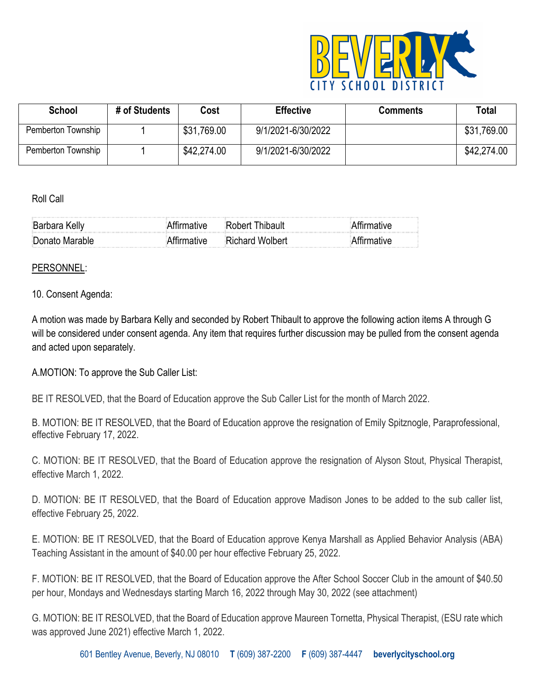

| <b>School</b>      | # of Students | Cost        | <b>Effective</b>   | <b>Comments</b> | Total       |
|--------------------|---------------|-------------|--------------------|-----------------|-------------|
| Pemberton Township |               | \$31,769.00 | 9/1/2021-6/30/2022 |                 | \$31,769.00 |
| Pemberton Township |               | \$42,274.00 | 9/1/2021-6/30/2022 |                 | \$42,274.00 |

Roll Call

| ∽<br>Kellv<br><b>Barnara</b> |                  |  |
|------------------------------|------------------|--|
| ∃Donato Ma<br>ıranıe         | ≣Richard Wolbert |  |

#### PERSONNEL:

#### 10. Consent Agenda:

A motion was made by Barbara Kelly and seconded by Robert Thibault to approve the following action items A through G will be considered under consent agenda. Any item that requires further discussion may be pulled from the consent agenda and acted upon separately.

A.MOTION: To approve the Sub Caller List:

BE IT RESOLVED, that the Board of Education approve the Sub Caller List for the month of March 2022.

B. MOTION: BE IT RESOLVED, that the Board of Education approve the resignation of Emily Spitznogle, Paraprofessional, effective February 17, 2022.

C. MOTION: BE IT RESOLVED, that the Board of Education approve the resignation of Alyson Stout, Physical Therapist, effective March 1, 2022.

D. MOTION: BE IT RESOLVED, that the Board of Education approve Madison Jones to be added to the sub caller list, effective February 25, 2022.

E. MOTION: BE IT RESOLVED, that the Board of Education approve Kenya Marshall as Applied Behavior Analysis (ABA) Teaching Assistant in the amount of \$40.00 per hour effective February 25, 2022.

F. MOTION: BE IT RESOLVED, that the Board of Education approve the After School Soccer Club in the amount of \$40.50 per hour, Mondays and Wednesdays starting March 16, 2022 through May 30, 2022 (see attachment)

G. MOTION: BE IT RESOLVED, that the Board of Education approve Maureen Tornetta, Physical Therapist, (ESU rate which was approved June 2021) effective March 1, 2022.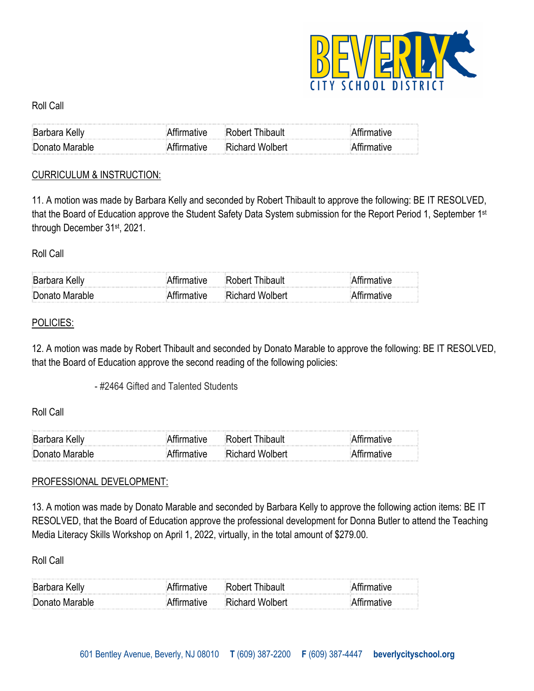

### Roll Call

| <b>Barbara Kelly</b> | ™ative:~ | l thert l                                                                                                                                                                                                                                                                              |  |
|----------------------|----------|----------------------------------------------------------------------------------------------------------------------------------------------------------------------------------------------------------------------------------------------------------------------------------------|--|
| Donato Marable       | ≀tiv≏    | $\sim$ 0.000 $\sim$ 0.000 $\sim$ 0.000 $\sim$ 0.000 $\sim$ 0.000 $\sim$ 0.000 $\sim$ 0.000 $\sim$ 0.000 $\sim$ 0.000 $\sim$ 0.000 $\sim$ 0.000 $\sim$ 0.000 $\sim$ 0.000 $\sim$ 0.000 $\sim$ 0.000 $\sim$ 0.000 $\sim$ 0.000 $\sim$ 0.000 $\sim$ 0.000 $\sim$ 0.000<br>Richard Wolbert |  |

### CURRICULUM & INSTRUCTION:

11. A motion was made by Barbara Kelly and seconded by Robert Thibault to approve the following: BE IT RESOLVED, that the Board of Education approve the Student Safety Data System submission for the Report Period 1, September 1st through December 31st, 2021.

Roll Call

| <b>Barbara Kelly</b> | †ırmative | Robert Thibault        | ∖ttırmatıve |
|----------------------|-----------|------------------------|-------------|
| Donato Marable       |           | <b>Richard Wolbert</b> | ∖ttırmatıve |

## POLICIES:

12. A motion was made by Robert Thibault and seconded by Donato Marable to approve the following: BE IT RESOLVED, that the Board of Education approve the second reading of the following policies:

- #2464 Gifted and Talented Students

Roll Call

| <b>Barbara</b> |                |  |
|----------------|----------------|--|
| ∄Donato Ma     | ichard Wolherl |  |

# PROFESSIONAL DEVELOPMENT:

13. A motion was made by Donato Marable and seconded by Barbara Kelly to approve the following action items: BE IT RESOLVED, that the Board of Education approve the professional development for Donna Butler to attend the Teaching Media Literacy Skills Workshop on April 1, 2022, virtually, in the total amount of \$279.00.

Roll Call

| Barbara Kelly  | tırmatıve  | Robert Thibault        | ttırmatıve |
|----------------|------------|------------------------|------------|
| Donato Marable | '+ırmative | <b>Richard Wolbert</b> | tırmatıve  |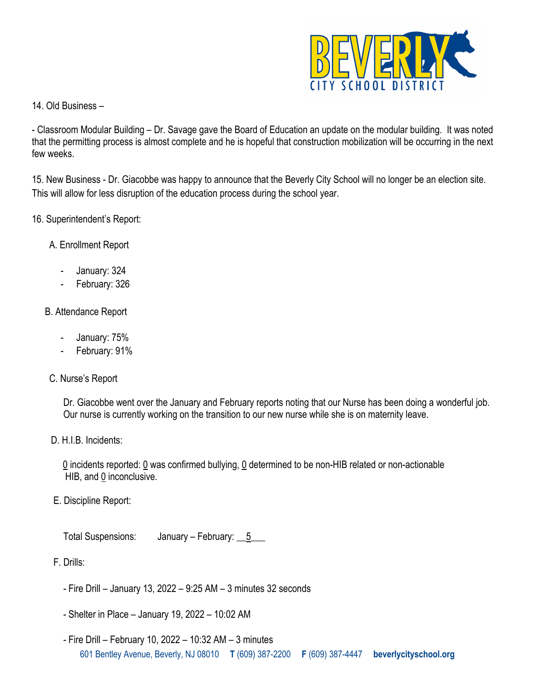

14. Old Business –

- Classroom Modular Building – Dr. Savage gave the Board of Education an update on the modular building. It was noted that the permitting process is almost complete and he is hopeful that construction mobilization will be occurring in the next few weeks.

15. New Business - Dr. Giacobbe was happy to announce that the Beverly City School will no longer be an election site. This will allow for less disruption of the education process during the school year.

- 16. Superintendent's Report:
	- A. Enrollment Report
		- January: 324
		- February: 326
	- B. Attendance Report
		- January: 75%
		- February: 91%
	- C. Nurse's Report

Dr. Giacobbe went over the January and February reports noting that our Nurse has been doing a wonderful job. Our nurse is currently working on the transition to our new nurse while she is on maternity leave.

D. H.I.B. Incidents:

 0 incidents reported: 0 was confirmed bullying, 0 determined to be non-HIB related or non-actionable HIB, and 0 inconclusive.

E. Discipline Report:

Total Suspensions: January – February: 5

- F. Drills:
	- Fire Drill January 13, 2022 9:25 AM 3 minutes 32 seconds
	- Shelter in Place January 19, 2022 10:02 AM
	- 601 Bentley Avenue, Beverly, NJ 08010 **T** (609) 387-2200 **F** (609) 387-4447 **beverlycityschool.org** - Fire Drill – February 10, 2022 – 10:32 AM – 3 minutes